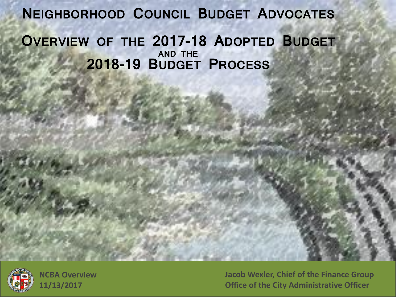**NEIGHBORHOOD COUNCIL BUDGET ADVOCATES OVERVIEW OF THE 2017-18 ADOPTED BUDGET AND THE 2018-19 BUDGET PROCESS**



**Jacob Wexler, Chief of the Finance Group Office of the City Administrative Officer**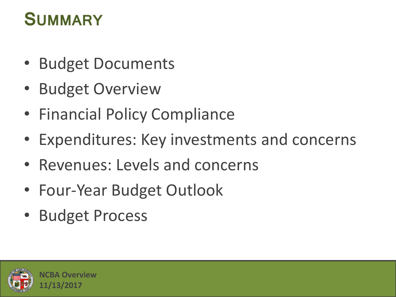### **SUMMARY**

- Budget Documents
- Budget Overview
- Financial Policy Compliance
- Expenditures: Key investments and concerns
- Revenues: Levels and concerns
- Four-Year Budget Outlook
- Budget Process

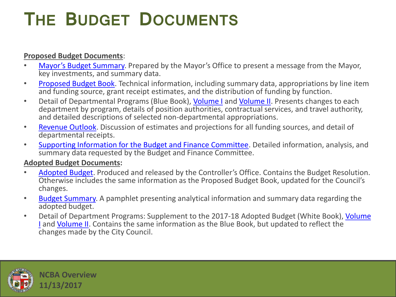## **THE BUDGET DOCUMENTS**

#### **Proposed Budget Documents**:

- [Mayor's Budget Summary](http://cao.lacity.org/budget17-18/2017-18Budget_Summary.pdf). Prepared by the Mayor's Office to present a message from the Mayor, key investments, and summary data.
- [Proposed Budget Book.](http://cao.lacity.org/budget17-18/2017-18Proposed_Budget.pdf) Technical information, including summary data, appropriations by line item and funding source, grant receipt estimates, and the distribution of funding by function.
- Detail of Departmental Programs (Blue Book), [Volume I](http://cao.lacity.org/budget17-18/2017-18BlueBookVol1.pdf) and [Volume II](http://cao.lacity.org/budget17-18/2017-18BlueBookVol2.pdf). Presents changes to each department by program, details of position authorities, contractual services, and travel authority, and detailed descriptions of selected non-departmental appropriations.
- [Revenue Outlook](http://cao.lacity.org/budget17-18/2017-18Revenue_Outlook.pdf). Discussion of estimates and projections for all funding sources, and detail of departmental receipts.
- [Supporting Information for the Budget and Finance Committee](http://cao.lacity.org/budget17-18/2017-18Supp_Info.pdf). Detailed information, analysis, and summary data requested by the Budget and Finance Committee.

#### **Adopted Budget Documents:**

- [Adopted Budget](http://www.lacontroller.org/2017_2018_adopted_budget). Produced and released by the Controller's Office. Contains the Budget Resolution. Otherwise includes the same information as the Proposed Budget Book, updated for the Council's changes.
- [Budget Summary](http://cao.lacity.org/budget/summary/2017-18BudgetSummaryBooklet.pdf). A pamphlet presenting analytical information and summary data regarding the adopted budget.
- Detail of Department Programs: Supplement to the 2017-18 Adopted Budget (White Book), Volume [I](http://cao.lacity.org/budget17-18/2017-18 White Book - Volume 1.pdf) and [Volume II](http://cao.lacity.org/budget17-18/2017-18 White Book - Volume 2.pdf). Contains the same information as the Blue Book, but updated to reflect the changes made by the City Council.

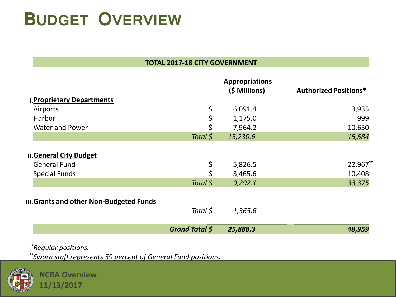## **BUDGET OVERVIEW**

#### **TOTAL 2017-18 CITY GOVERNMENT**

|                                                       |                       | <b>Appropriations</b><br>(\$ Millions) | <b>Authorized Positions*</b> |
|-------------------------------------------------------|-----------------------|----------------------------------------|------------------------------|
| <b>I. Proprietary Departments</b>                     |                       |                                        |                              |
| Airports                                              | \$                    | 6,091.4                                | 3,935                        |
| Harbor                                                |                       | 1,175.0                                | 999                          |
| <b>Water and Power</b>                                |                       | 7,964.2                                | 10,650                       |
|                                                       | Total \$              | 15,230.6                               | 15,584                       |
| <b>II. General City Budget</b><br><b>General Fund</b> |                       |                                        | 22,967**                     |
|                                                       | \$                    | 5,826.5                                |                              |
| <b>Special Funds</b>                                  |                       | 3,465.6                                | 10,408                       |
|                                                       | Total \$              | 9,292.1                                | 33,375                       |
| <b>III. Grants and other Non-Budgeted Funds</b>       |                       |                                        |                              |
|                                                       | Total \$              | 1,365.6                                |                              |
|                                                       | <b>Grand Total \$</b> | 25,888.3                               | 48,959                       |

*\*Regular positions.*

*\*\*Sworn staff represents 59 percent of General Fund positions.*

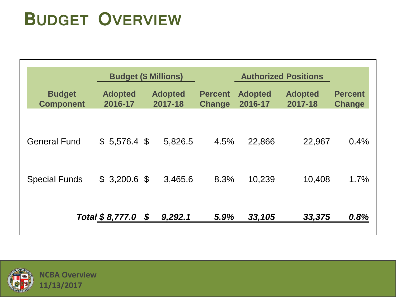## **BUDGET OVERVIEW**

|                                   |                           | <b>Budget (\$ Millions)</b> | <b>Authorized Positions</b>     |                           |                           |                                 |
|-----------------------------------|---------------------------|-----------------------------|---------------------------------|---------------------------|---------------------------|---------------------------------|
| <b>Budget</b><br><b>Component</b> | <b>Adopted</b><br>2016-17 | <b>Adopted</b><br>2017-18   | <b>Percent</b><br><b>Change</b> | <b>Adopted</b><br>2016-17 | <b>Adopted</b><br>2017-18 | <b>Percent</b><br><b>Change</b> |
|                                   |                           |                             |                                 |                           |                           |                                 |
| <b>General Fund</b>               | $$5,576.4$ \$             | 5,826.5                     | 4.5%                            | 22,866                    | 22,967                    | 0.4%                            |
|                                   |                           |                             |                                 |                           |                           |                                 |
| <b>Special Funds</b>              | $$3,200.6$ \$             | 3,465.6                     | 8.3%                            | 10,239                    | 10,408                    | 1.7%                            |
|                                   | Total $$8,777.0$ $$$      | 9,292.1                     | 5.9%                            | 33,105                    | 33,375                    | 0.8%                            |

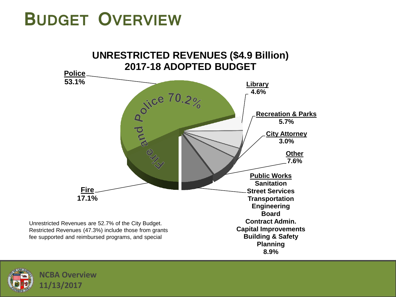### **BUDGET OVERVIEW**



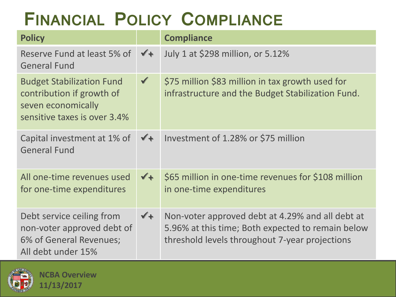# **FINANCIAL POLICY COMPLIANCE**

| <b>Policy</b>                                                                                                       |                | <b>Compliance</b>                                                                                                                                       |
|---------------------------------------------------------------------------------------------------------------------|----------------|---------------------------------------------------------------------------------------------------------------------------------------------------------|
| Reserve Fund at least 5% of<br><b>General Fund</b>                                                                  | $\sqrt{+}$     | July 1 at \$298 million, or 5.12%                                                                                                                       |
| <b>Budget Stabilization Fund</b><br>contribution if growth of<br>seven economically<br>sensitive taxes is over 3.4% | $\checkmark$   | \$75 million \$83 million in tax growth used for<br>infrastructure and the Budget Stabilization Fund.                                                   |
| Capital investment at 1% of<br><b>General Fund</b>                                                                  | $\checkmark$ + | Investment of 1.28% or \$75 million                                                                                                                     |
| All one-time revenues used<br>for one-time expenditures                                                             | $\sqrt{1}$     | \$65 million in one-time revenues for \$108 million<br>in one-time expenditures                                                                         |
| Debt service ceiling from<br>non-voter approved debt of<br>6% of General Revenues;<br>All debt under 15%            | $\sqrt{1}$     | Non-voter approved debt at 4.29% and all debt at<br>5.96% at this time; Both expected to remain below<br>threshold levels throughout 7-year projections |

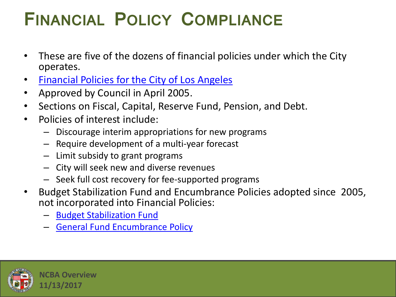## **FINANCIAL POLICY COMPLIANCE**

- These are five of the dozens of financial policies under which the City operates.
- [Financial Policies for the City of Los Angeles](http://cao.lacity.org/debt/FinancialPolicies.pdf)
- Approved by Council in April 2005.
- Sections on Fiscal, Capital, Reserve Fund, Pension, and Debt.
- Policies of interest include:
	- Discourage interim appropriations for new programs
	- Require development of a multi-year forecast
	- Limit subsidy to grant programs
	- City will seek new and diverse revenues
	- Seek full cost recovery for fee-supported programs
- Budget Stabilization Fund and Encumbrance Policies adopted since 2005, not incorporated into Financial Policies:
	- [Budget Stabilization Fund](https://cityclerk.lacity.org/lacityclerkconnect/index.cfm?fa=ccfi.viewrecord&cfnumber=13-0455)
	- [General Fund Encumbrance Policy](https://cityclerk.lacity.org/lacityclerkconnect/index.cfm?fa=ccfi.viewrecord&cfnumber=12-0600-S29)

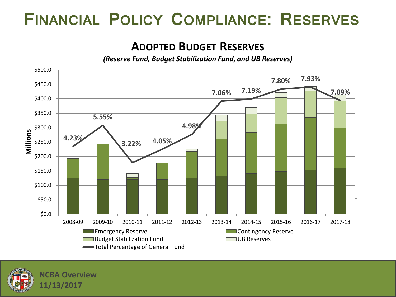#### **FINANCIAL POLICY COMPLIANCE: RESERVES**

#### **ADOPTED BUDGET RESERVES**

*(Reserve Fund, Budget Stabilization Fund, and UB Reserves)*



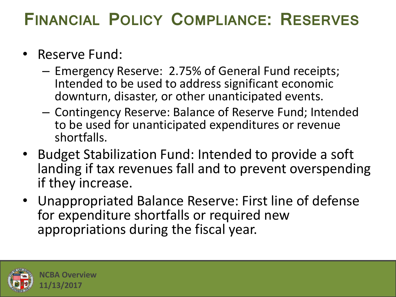#### **FINANCIAL POLICY COMPLIANCE: RESERVES**

- Reserve Fund:
	- Emergency Reserve: 2.75% of General Fund receipts; Intended to be used to address significant economic downturn, disaster, or other unanticipated events.
	- Contingency Reserve: Balance of Reserve Fund; Intended to be used for unanticipated expenditures or revenue shortfalls.
- Budget Stabilization Fund: Intended to provide a soft landing if tax revenues fall and to prevent overspending if they increase.
- Unappropriated Balance Reserve: First line of defense for expenditure shortfalls or required new appropriations during the fiscal year.

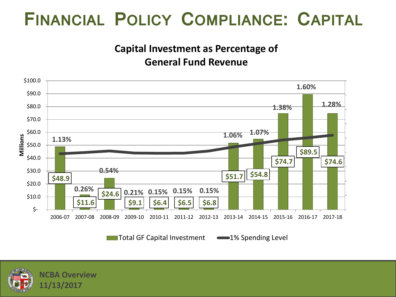### **FINANCIAL POLICY COMPLIANCE: CAPITAL**

#### **Capital Investment as Percentage of General Fund Revenue**



Total GF Capital Investment -1% Spending Level

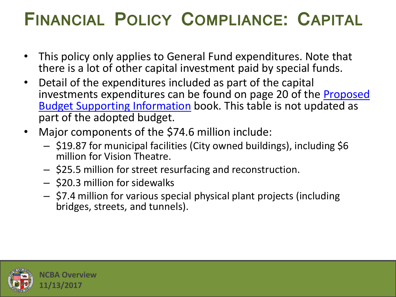### **FINANCIAL POLICY COMPLIANCE: CAPITAL**

- This policy only applies to General Fund expenditures. Note that there is a lot of other capital investment paid by special funds.
- Detail of the expenditures included as part of the capital investments expenditures can be found on page 20 of the **Proposed** [Budget Supporting Information](http://cao.lacity.org/budget17-18/2017-18Supp_Info.pdf) book. This table is not updated as part of the adopted budget.
- Major components of the \$74.6 million include:
	- \$19.87 for municipal facilities (City owned buildings), including \$6 million for Vision Theatre.
	- \$25.5 million for street resurfacing and reconstruction.
	- \$20.3 million for sidewalks
	- \$7.4 million for various special physical plant projects (including bridges, streets, and tunnels).

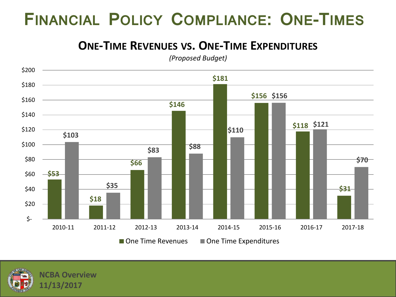#### **FINANCIAL POLICY COMPLIANCE: ONE-TIMES**

#### **ONE-TIME REVENUES VS. ONE-TIME EXPENDITURES**

*(Proposed Budget)*



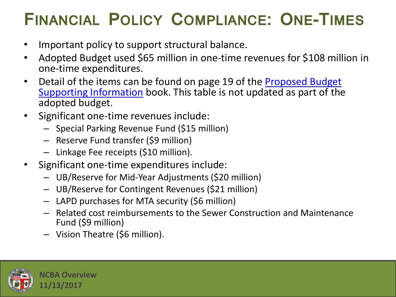### **FINANCIAL POLICY COMPLIANCE: ONE-TIMES**

- Important policy to support structural balance.
- Adopted Budget used \$65 million in one-time revenues for \$108 million in one-time expenditures.
- Detail of the items can be found on page 19 of the Proposed Budget [Supporting Information](http://cao.lacity.org/budget17-18/2017-18Supp_Info.pdf) book. This table is not updated as part of the adopted budget.
- Significant one-time revenues include:
	- Special Parking Revenue Fund (\$15 million)
	- Reserve Fund transfer (\$9 million)
	- Linkage Fee receipts (\$10 million).
- Significant one-time expenditures include:
	- UB/Reserve for Mid-Year Adjustments (\$20 million)
	- UB/Reserve for Contingent Revenues (\$21 million)
	- LAPD purchases for MTA security (\$6 million)
	- Related cost reimbursements to the Sewer Construction and Maintenance Fund (\$9 million)
	- Vision Theatre (\$6 million).

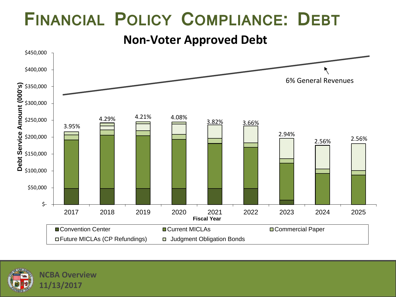### **FINANCIAL POLICY COMPLIANCE: DEBT**

**Non-Voter Approved Debt**



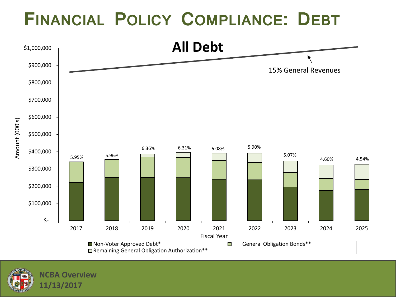### **FINANCIAL POLICY COMPLIANCE: DEBT**



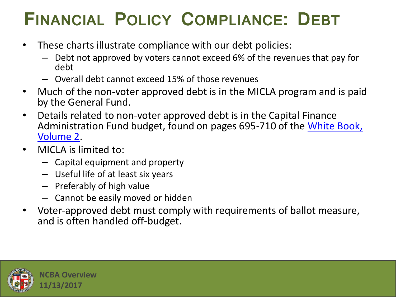## **FINANCIAL POLICY COMPLIANCE: DEBT**

- These charts illustrate compliance with our debt policies:
	- Debt not approved by voters cannot exceed 6% of the revenues that pay for debt
	- Overall debt cannot exceed 15% of those revenues
- Much of the non-voter approved debt is in the MICLA program and is paid by the General Fund.
- Details related to non-voter approved debt is in the Capital Finance Administration Fund budget, found on pages 695-710 of the White Book, [Volume 2](http://cao.lacity.org/budget17-18/2017-18 White Book - Volume 2.pdf).
- MICLA is limited to:
	- Capital equipment and property
	- Useful life of at least six years
	- Preferably of high value
	- Cannot be easily moved or hidden
- Voter-approved debt must comply with requirements of ballot measure, and is often handled off-budget.

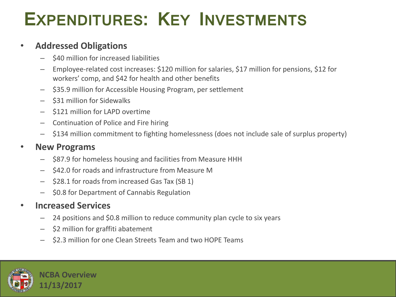## **EXPENDITURES: KEY INVESTMENTS**

#### • **Addressed Obligations**

- \$40 million for increased liabilities
- Employee-related cost increases: \$120 million for salaries, \$17 million for pensions, \$12 for workers' comp, and \$42 for health and other benefits
- \$35.9 million for Accessible Housing Program, per settlement
- \$31 million for Sidewalks
- \$121 million for LAPD overtime
- Continuation of Police and Fire hiring
- \$134 million commitment to fighting homelessness (does not include sale of surplus property)

#### • **New Programs**

- \$87.9 for homeless housing and facilities from Measure HHH
- \$42.0 for roads and infrastructure from Measure M
- \$28.1 for roads from increased Gas Tax (SB 1)
- \$0.8 for Department of Cannabis Regulation

#### • **Increased Services**

- 24 positions and \$0.8 million to reduce community plan cycle to six years
- \$2 million for graffiti abatement
- \$2.3 million for one Clean Streets Team and two HOPE Teams

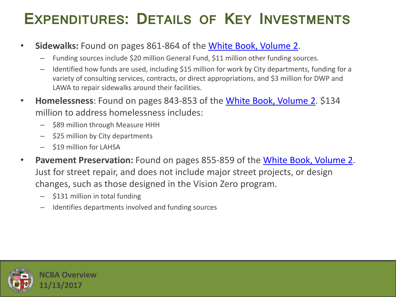#### **EXPENDITURES: DETAILS OF KEY INVESTMENTS**

- **Sidewalks:** Found on pages 861-864 of the [White Book, Volume 2](http://cao.lacity.org/budget17-18/2017-18 White Book  Volume 2.pdf).
	- Funding sources include \$20 million General Fund, \$11 million other funding sources.
	- Identified how funds are used, including \$15 million for work by City departments, funding for a variety of consulting services, contracts, or direct appropriations, and \$3 million for DWP and LAWA to repair sidewalks around their facilities.
- **Homelessness**: Found on pages 843-853 of the [White Book, Volume 2.](http://cao.lacity.org/budget17-18/2017-18 White Book  Volume 2.pdf) \$134 million to address homelessness includes:
	- \$89 million through Measure HHH
	- \$25 million by City departments
	- \$19 million for LAHSA
- **Pavement Preservation:** Found on pages 855-859 of the [White Book, Volume 2.](http://cao.lacity.org/budget17-18/2017-18 White Book  Volume 2.pdf) Just for street repair, and does not include major street projects, or design changes, such as those designed in the Vision Zero program.
	- \$131 million in total funding
	- Identifies departments involved and funding sources

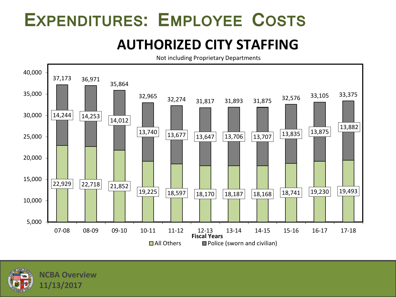### **EXPENDITURES: EMPLOYEE COSTS**

#### **AUTHORIZED CITY STAFFING**

Not including Proprietary Departments



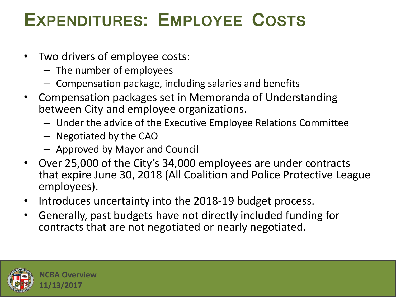## **EXPENDITURES: EMPLOYEE COSTS**

- Two drivers of employee costs:
	- The number of employees
	- Compensation package, including salaries and benefits
- Compensation packages set in Memoranda of Understanding between City and employee organizations.
	- Under the advice of the Executive Employee Relations Committee
	- Negotiated by the CAO
	- Approved by Mayor and Council
- Over 25,000 of the City's 34,000 employees are under contracts that expire June 30, 2018 (All Coalition and Police Protective League employees).
- Introduces uncertainty into the 2018-19 budget process.
- Generally, past budgets have not directly included funding for contracts that are not negotiated or nearly negotiated.

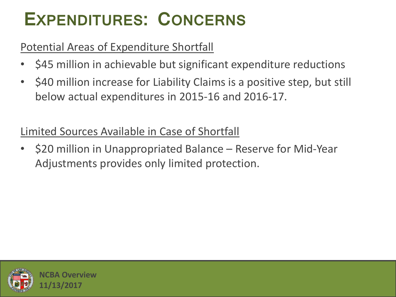## **EXPENDITURES: CONCERNS**

#### Potential Areas of Expenditure Shortfall

- \$45 million in achievable but significant expenditure reductions
- \$40 million increase for Liability Claims is a positive step, but still below actual expenditures in 2015-16 and 2016-17.

#### Limited Sources Available in Case of Shortfall

• \$20 million in Unappropriated Balance – Reserve for Mid-Year Adjustments provides only limited protection.

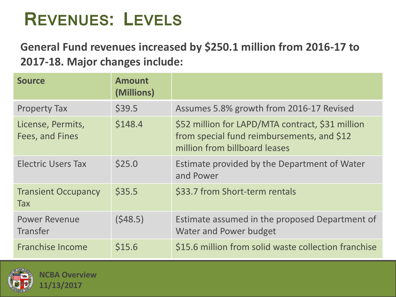### **REVENUES: LEVELS**

**General Fund revenues increased by \$250.1 million from 2016-17 to 2017-18. Major changes include:**

| <b>Source</b>                            | <b>Amount</b><br>(Millions) |                                                                                                                                 |
|------------------------------------------|-----------------------------|---------------------------------------------------------------------------------------------------------------------------------|
| <b>Property Tax</b>                      | \$39.5                      | Assumes 5.8% growth from 2016-17 Revised                                                                                        |
| License, Permits,<br>Fees, and Fines     | \$148.4                     | \$52 million for LAPD/MTA contract, \$31 million<br>from special fund reimbursements, and \$12<br>million from billboard leases |
| <b>Electric Users Tax</b>                | \$25.0                      | Estimate provided by the Department of Water<br>and Power                                                                       |
| <b>Transient Occupancy</b><br><b>Tax</b> | \$35.5                      | \$33.7 from Short-term rentals                                                                                                  |
| <b>Power Revenue</b><br><b>Transfer</b>  | (548.5)                     | Estimate assumed in the proposed Department of<br>Water and Power budget                                                        |
| <b>Franchise Income</b>                  | \$15.6                      | \$15.6 million from solid waste collection franchise                                                                            |

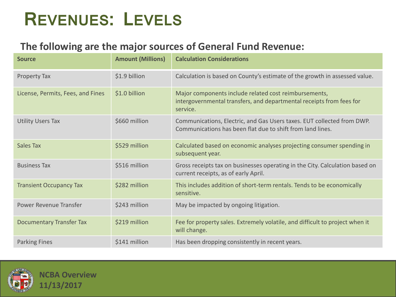### **REVENUES: LEVELS**

#### **The following are the major sources of General Fund Revenue:**

| <b>Source</b>                     | <b>Amount (Millions)</b> | <b>Calculation Considerations</b>                                                                                                         |
|-----------------------------------|--------------------------|-------------------------------------------------------------------------------------------------------------------------------------------|
| Property Tax                      | \$1.9 billion            | Calculation is based on County's estimate of the growth in assessed value.                                                                |
| License, Permits, Fees, and Fines | \$1.0 billion            | Major components include related cost reimbursements,<br>intergovernmental transfers, and departmental receipts from fees for<br>service. |
| <b>Utility Users Tax</b>          | \$660 million            | Communications, Electric, and Gas Users taxes. EUT collected from DWP.<br>Communications has been flat due to shift from land lines.      |
| <b>Sales Tax</b>                  | \$529 million            | Calculated based on economic analyses projecting consumer spending in<br>subsequent year.                                                 |
| <b>Business Tax</b>               | \$516 million            | Gross receipts tax on businesses operating in the City. Calculation based on<br>current receipts, as of early April.                      |
| <b>Transient Occupancy Tax</b>    | \$282 million            | This includes addition of short-term rentals. Tends to be economically<br>sensitive.                                                      |
| Power Revenue Transfer            | \$243 million            | May be impacted by ongoing litigation.                                                                                                    |
| <b>Documentary Transfer Tax</b>   | \$219 million            | Fee for property sales. Extremely volatile, and difficult to project when it<br>will change.                                              |
| <b>Parking Fines</b>              | \$141 million            | Has been dropping consistently in recent years.                                                                                           |

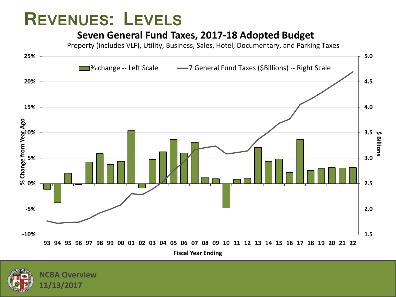#### **REVENUES: LEVELS**

#### **Seven General Fund Taxes, 2017-18 Adopted Budget**

Property (includes VLF), Utility, Business, Sales, Hotel, Documentary, and Parking Taxes



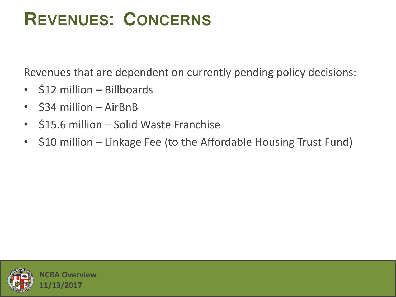### **REVENUES: CONCERNS**

Revenues that are dependent on currently pending policy decisions:

- \$12 million Billboards
- \$34 million AirBnB
- \$15.6 million Solid Waste Franchise
- \$10 million Linkage Fee (to the Affordable Housing Trust Fund)

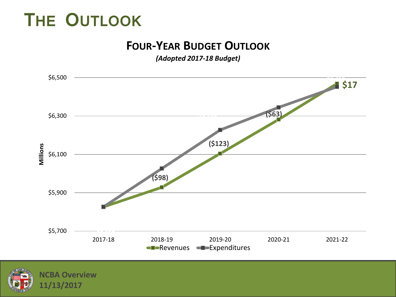## **THE OUTLOOK**

#### **FOUR-YEAR BUDGET OUTLOOK**

*(Adopted 2017-18 Budget)*



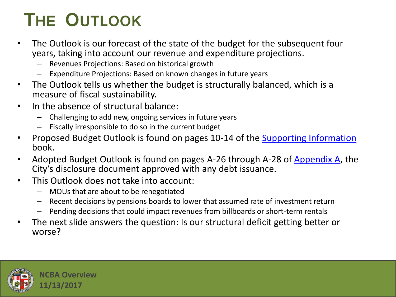# **THE OUTLOOK**

- The Outlook is our forecast of the state of the budget for the subsequent four years, taking into account our revenue and expenditure projections.
	- Revenues Projections: Based on historical growth
	- Expenditure Projections: Based on known changes in future years
- The Outlook tells us whether the budget is structurally balanced, which is a measure of fiscal sustainability.
- In the absence of structural balance:
	- Challenging to add new, ongoing services in future years
	- Fiscally irresponsible to do so in the current budget
- Proposed Budget Outlook is found on pages 10-14 of the [Supporting Information](http://cao.lacity.org/budget17-18/2017-18Supp_Info.pdf) book.
- Adopted Budget Outlook is found on pages A-26 through A-28 of [Appendix A,](http://cao.lacity.org/debt/2017 Appendix A City of Los Angeles Information Statement.pdf) the City's disclosure document approved with any debt issuance.
- This Outlook does not take into account:
	- MOUs that are about to be renegotiated
	- Recent decisions by pensions boards to lower that assumed rate of investment return
	- Pending decisions that could impact revenues from billboards or short-term rentals
- The next slide answers the question: Is our structural deficit getting better or worse?

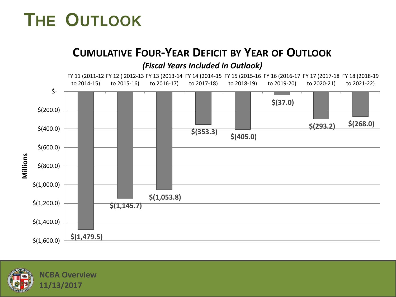## **THE OUTLOOK**

#### **CUMULATIVE FOUR-YEAR DEFICIT BY YEAR OF OUTLOOK**





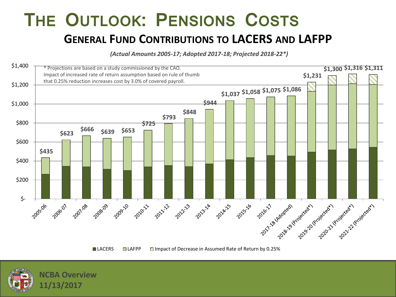#### **THE OUTLOOK: PENSIONS COSTS GENERAL FUND CONTRIBUTIONS TO LACERS AND LAFPP**

*(Actual Amounts 2005-17; Adopted 2017-18; Projected 2018-22\*)*





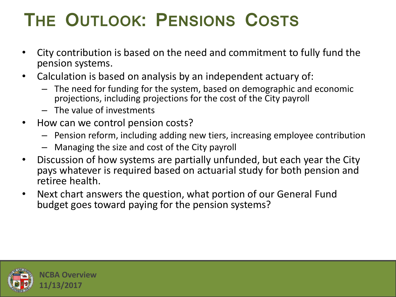# **THE OUTLOOK: PENSIONS COSTS**

- City contribution is based on the need and commitment to fully fund the pension systems.
- Calculation is based on analysis by an independent actuary of:
	- The need for funding for the system, based on demographic and economic projections, including projections for the cost of the City payroll
	- The value of investments
- How can we control pension costs?
	- Pension reform, including adding new tiers, increasing employee contribution
	- Managing the size and cost of the City payroll
- Discussion of how systems are partially unfunded, but each year the City pays whatever is required based on actuarial study for both pension and retiree health.
- Next chart answers the question, what portion of our General Fund budget goes toward paying for the pension systems?

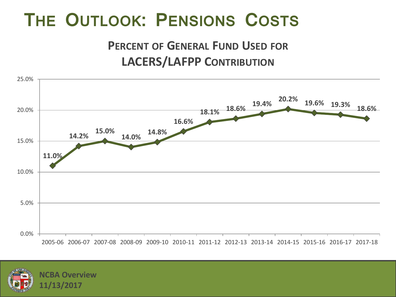### **THE OUTLOOK: PENSIONS COSTS**

#### **PERCENT OF GENERAL FUND USED FOR LACERS/LAFPP CONTRIBUTION**



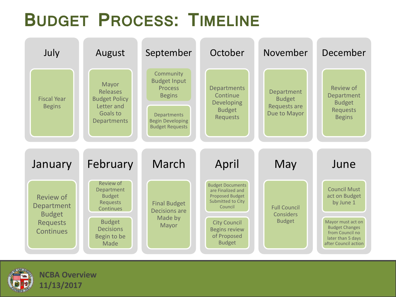## **BUDGET PROCESS: TIMELINE**



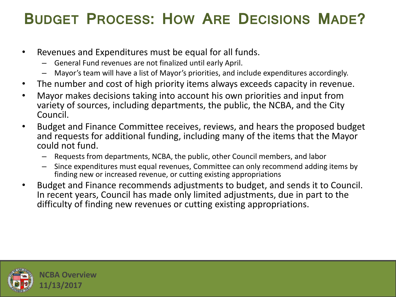#### **BUDGET PROCESS: HOW ARE DECISIONS MADE?**

- Revenues and Expenditures must be equal for all funds.
	- General Fund revenues are not finalized until early April.
	- Mayor's team will have a list of Mayor's priorities, and include expenditures accordingly.
- The number and cost of high priority items always exceeds capacity in revenue.
- Mayor makes decisions taking into account his own priorities and input from variety of sources, including departments, the public, the NCBA, and the City Council.
- Budget and Finance Committee receives, reviews, and hears the proposed budget and requests for additional funding, including many of the items that the Mayor could not fund.
	- Requests from departments, NCBA, the public, other Council members, and labor
	- Since expenditures must equal revenues, Committee can only recommend adding items by finding new or increased revenue, or cutting existing appropriations
- Budget and Finance recommends adjustments to budget, and sends it to Council. In recent years, Council has made only limited adjustments, due in part to the difficulty of finding new revenues or cutting existing appropriations.

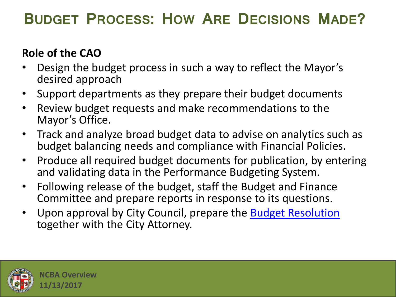#### **BUDGET PROCESS: HOW ARE DECISIONS MADE?**

#### **Role of the CAO**

- Design the budget process in such a way to reflect the Mayor's desired approach
- Support departments as they prepare their budget documents
- Review budget requests and make recommendations to the Mayor's Office.
- Track and analyze broad budget data to advise on analytics such as budget balancing needs and compliance with Financial Policies.
- Produce all required budget documents for publication, by entering and validating data in the Performance Budgeting System.
- Following release of the budget, staff the Budget and Finance Committee and prepare reports in response to its questions.
- Upon approval by City Council, prepare the [Budget Resolution](http://clkrep.lacity.org/onlinedocs/2017/17-0600_misc_05-23-17.pdf) together with the City Attorney.

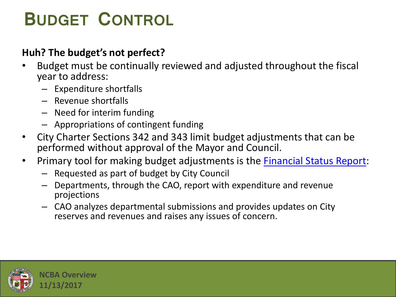# **BUDGET CONTROL**

#### **Huh? The budget's not perfect?**

- Budget must be continually reviewed and adjusted throughout the fiscal year to address:
	- Expenditure shortfalls
	- Revenue shortfalls
	- Need for interim funding
	- Appropriations of contingent funding
- City Charter Sections 342 and 343 limit budget adjustments that can be performed without approval of the Mayor and Council.
- Primary tool for making budget adjustments is the [Financial Status Report](https://cityclerk.lacity.org/lacityclerkconnect/index.cfm?fa=ccfi.viewrecord&cfnumber=17-0600-S113):
	- Requested as part of budget by City Council
	- Departments, through the CAO, report with expenditure and revenue projections
	- CAO analyzes departmental submissions and provides updates on City reserves and revenues and raises any issues of concern.